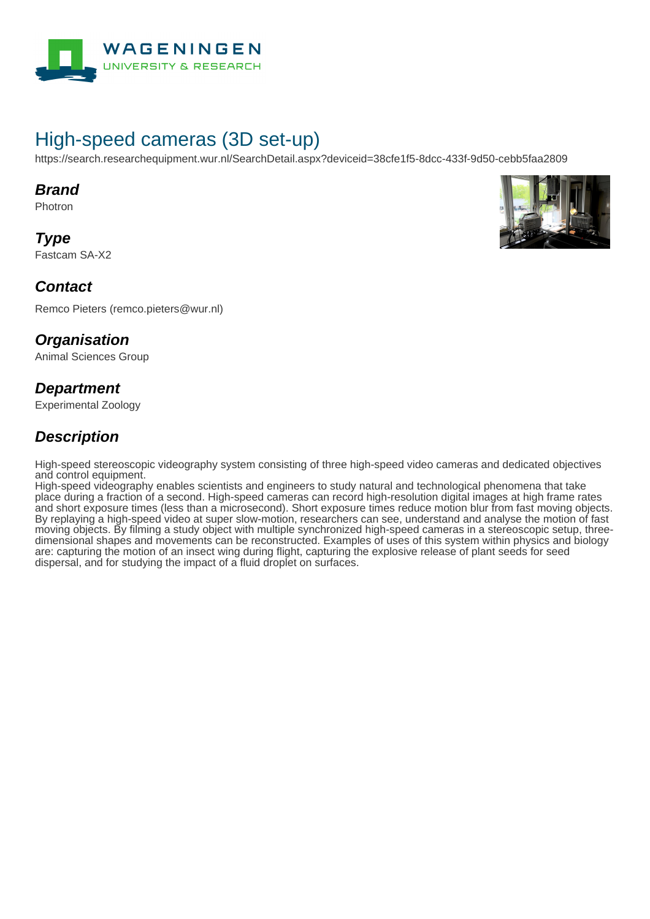

# High-speed cameras (3D set-up)

https://search.researchequipment.wur.nl/SearchDetail.aspx?deviceid=38cfe1f5-8dcc-433f-9d50-cebb5faa2809

#### **Brand**

Photron

**Type** Fastcam SA-X2



Remco Pieters (remco.pieters@wur.nl)

#### **Organisation**

Animal Sciences Group

### **Department**

Experimental Zoology

### **Description**

High-speed stereoscopic videography system consisting of three high-speed video cameras and dedicated objectives and control equipment.

High-speed videography enables scientists and engineers to study natural and technological phenomena that take place during a fraction of a second. High-speed cameras can record high-resolution digital images at high frame rates and short exposure times (less than a microsecond). Short exposure times reduce motion blur from fast moving objects. By replaying a high-speed video at super slow-motion, researchers can see, understand and analyse the motion of fast moving objects. By filming a study object with multiple synchronized high-speed cameras in a stereoscopic setup, threedimensional shapes and movements can be reconstructed. Examples of uses of this system within physics and biology are: capturing the motion of an insect wing during flight, capturing the explosive release of plant seeds for seed dispersal, and for studying the impact of a fluid droplet on surfaces.